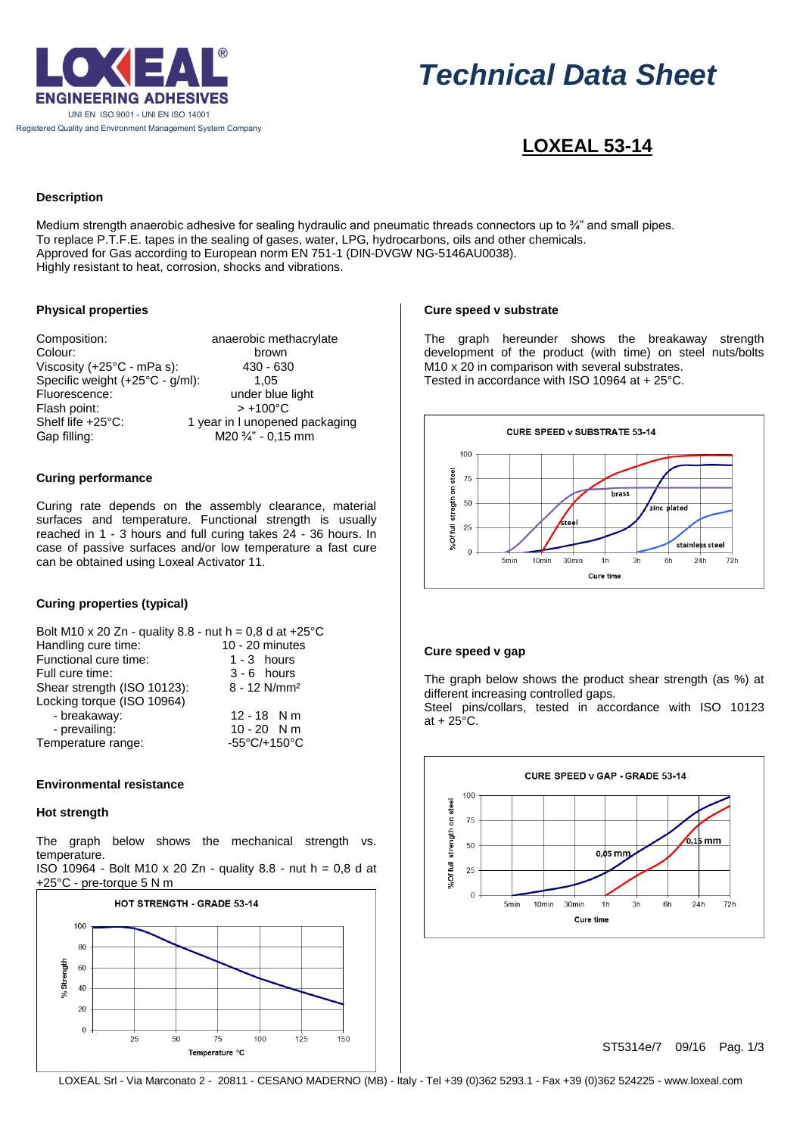

# *Technical Data Sheet*

# **LOXEAL 53-14**

# **Description**

Medium strength anaerobic adhesive for sealing hydraulic and pneumatic threads connectors up to ¼" and small pipes. To replace P.T.F.E. tapes in the sealing of gases, water, LPG, hydrocarbons, oils and other chemicals. Approved for Gas according to European norm EN 751-1 (DIN-DVGW NG-5146AU0038). Highly resistant to heat, corrosion, shocks and vibrations.

# **Physical properties**

| Composition:                    | anaerobic methacrylate         |
|---------------------------------|--------------------------------|
| Colour:                         | brown                          |
| Viscosity (+25°C - mPa s):      | 430 - 630                      |
| Specific weight (+25°C - g/ml): | 1.05                           |
| Fluorescence:                   | under blue light               |
| Flash point:                    | $> +100^{\circ}C$              |
| Shelf life +25°C:               | 1 year in I unopened packaging |
| Gap filling:                    | M20 3/4" - 0,15 mm             |

# **Curing performance**

Curing rate depends on the assembly clearance, material surfaces and temperature. Functional strength is usually reached in 1 - 3 hours and full curing takes 24 - 36 hours. In case of passive surfaces and/or low temperature a fast cure can be obtained using Loxeal Activator 11.

# **Curing properties (typical)**

| Bolt M10 x 20 Zn - quality 8.8 - nut h = 0,8 d at +25 °C |                            |  |  |  |
|----------------------------------------------------------|----------------------------|--|--|--|
| Handling cure time:                                      | $10 - 20$ minutes          |  |  |  |
| Functional cure time:                                    | $1 - 3$ hours              |  |  |  |
| Full cure time:                                          | $3 - 6$ hours              |  |  |  |
| Shear strength (ISO 10123):                              | $8 - 12$ N/mm <sup>2</sup> |  |  |  |
| Locking torque (ISO 10964)                               |                            |  |  |  |
| - breakaway:                                             | $12 - 18$ N m              |  |  |  |
| - prevailing:                                            | $10 - 20$ N m              |  |  |  |
| Temperature range:                                       | -55°C/+150°C               |  |  |  |

# **Environmental resistance**

# **Hot strength**

The graph below shows the mechanical strength vs. temperature.

| ISO 10964 - Bolt M10 x 20 Zn - quality 8.8 - nut h = 0,8 d at |  |  |
|---------------------------------------------------------------|--|--|
| +25°C - pre-torque 5 N m                                      |  |  |



# **Cure speed v substrate**

The graph hereunder shows the breakaway strength development of the product (with time) on steel nuts/bolts M10 x 20 in comparison with several substrates. Tested in accordance with ISO 10964 at + 25°C.



# **Cure speed v gap**

The graph below shows the product shear strength (as %) at different increasing controlled gaps.

Steel pins/collars, tested in accordance with ISO 10123 at  $+25^{\circ}$ C.



ST5314e/7 09/16 Pag. 1/3

LOXEAL Srl - Via Marconato 2 - 20811 - CESANO MADERNO (MB) - Italy - Tel +39 (0)362 5293.1 - Fax +39 (0)362 524225 - www.loxeal.com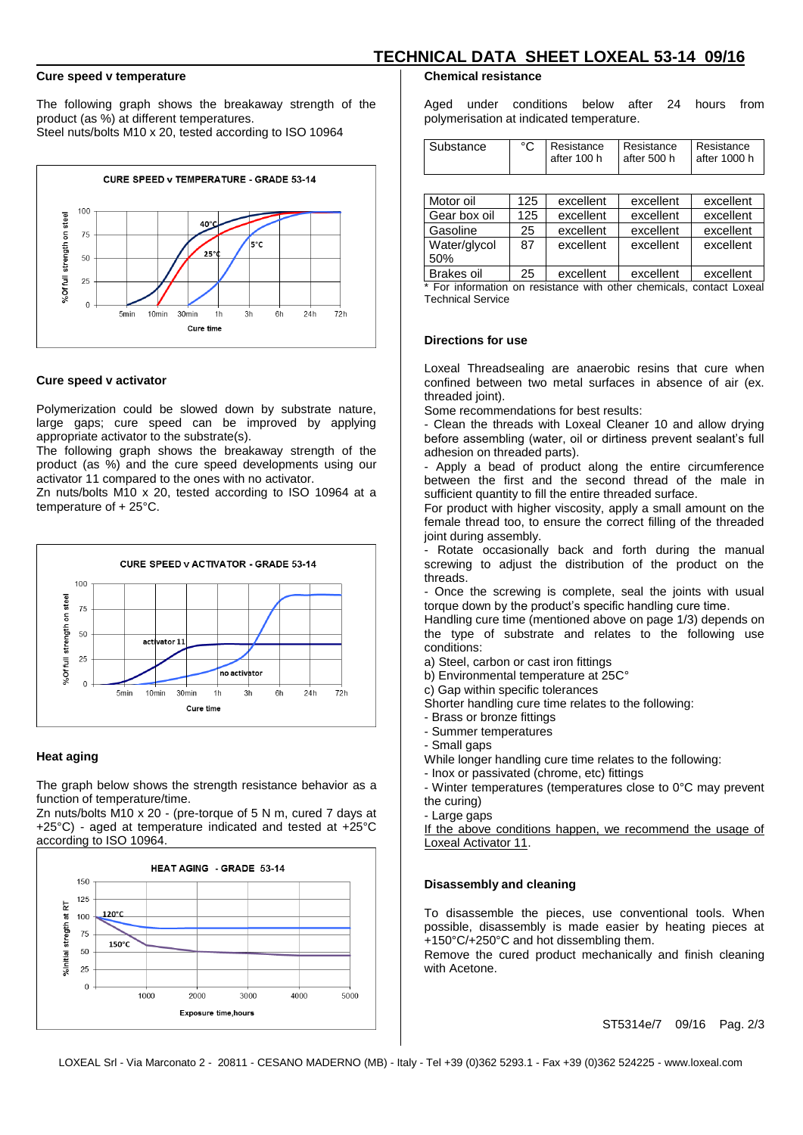#### **Cure speed v temperature**

The following graph shows the breakaway strength of the product (as %) at different temperatures. Steel nuts/bolts M10 x 20, tested according to ISO 10964



#### **Cure speed v activator**

Polymerization could be slowed down by substrate nature, large gaps; cure speed can be improved by applying appropriate activator to the substrate(s).

The following graph shows the breakaway strength of the product (as %) and the cure speed developments using our activator 11 compared to the ones with no activator.

Zn nuts/bolts M10 x 20, tested according to ISO 10964 at a temperature of + 25°C.



#### **Heat aging**

The graph below shows the strength resistance behavior as a function of temperature/time.

Zn nuts/bolts M10 x 20 - (pre-torque of 5 N m, cured 7 days at +25°C) - aged at temperature indicated and tested at +25°C according to ISO 10964.



#### **Chemical resistance**

Aged under conditions below after 24 hours from polymerisation at indicated temperature.

 **TECHNICAL DATA SHEET LOXEAL 53-14 09/16**

| Substance | Resistance<br>after 100 h | l Resistance<br>after 500 h | <b>Resistance</b><br>after 1000 h |
|-----------|---------------------------|-----------------------------|-----------------------------------|
|           |                           |                             |                                   |

| Motor oil         | 125 | excellent | excellent | excellent |
|-------------------|-----|-----------|-----------|-----------|
| Gear box oil      | 125 | excellent | excellent | excellent |
| Gasoline          | 25  | excellent | excellent | excellent |
| Water/glycol      | 87  | excellent | excellent | excellent |
| 50%               |     |           |           |           |
| <b>Brakes oil</b> | 25  | excellent | excellent | excellent |
|                   |     |           |           |           |

For information on resistance with other chemicals, contact Loxeal Technical Service

#### **Directions for use**

Loxeal Threadsealing are anaerobic resins that cure when confined between two metal surfaces in absence of air (ex. threaded joint).

Some recommendations for best results:

- Clean the threads with Loxeal Cleaner 10 and allow drying before assembling (water, oil or dirtiness prevent sealant's full adhesion on threaded parts).

- Apply a bead of product along the entire circumference between the first and the second thread of the male in sufficient quantity to fill the entire threaded surface.

For product with higher viscosity, apply a small amount on the female thread too, to ensure the correct filling of the threaded joint during assembly.

- Rotate occasionally back and forth during the manual screwing to adjust the distribution of the product on the threads.

- Once the screwing is complete, seal the joints with usual torque down by the product's specific handling cure time.

Handling cure time (mentioned above on page 1/3) depends on the type of substrate and relates to the following use conditions:

a) Steel, carbon or cast iron fittings

b) Environmental temperature at 25C°

c) Gap within specific tolerances

Shorter handling cure time relates to the following:

- Brass or bronze fittings
- Summer temperatures
- Small gaps

While longer handling cure time relates to the following:

- Inox or passivated (chrome, etc) fittings

- Winter temperatures (temperatures close to 0°C may prevent the curing)

- Large gaps

If the above conditions happen, we recommend the usage of Loxeal Activator 11.

#### **Disassembly and cleaning**

To disassemble the pieces, use conventional tools. When possible, disassembly is made easier by heating pieces at +150°C/+250°C and hot dissembling them.

Remove the cured product mechanically and finish cleaning with Acetone.

ST5314e/7 09/16 Pag. 2/3